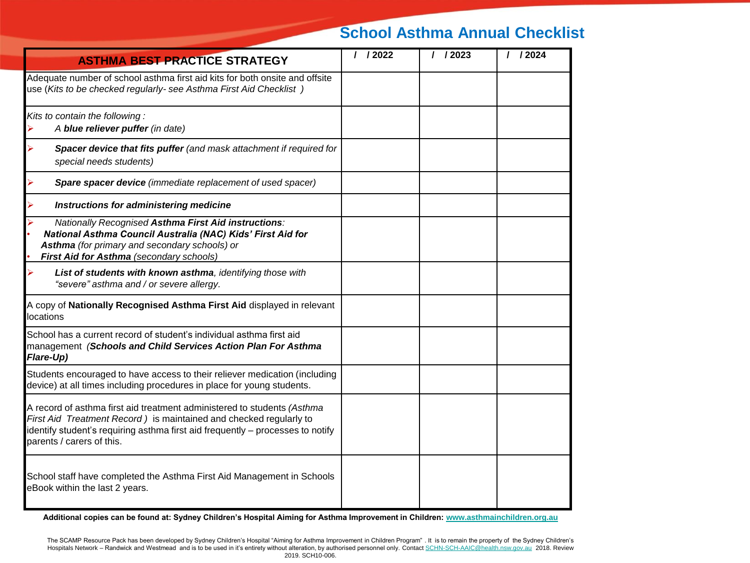# **School Asthma Annual Checklist**

| <b>ASTHMA BEST PRACTICE STRATEGY</b>                                                                                                                                                                                                                         | 1/2022 | 1/2023 | 1/12024 |
|--------------------------------------------------------------------------------------------------------------------------------------------------------------------------------------------------------------------------------------------------------------|--------|--------|---------|
| Adequate number of school asthma first aid kits for both onsite and offsite<br>use (Kits to be checked regularly- see Asthma First Aid Checklist)                                                                                                            |        |        |         |
| Kits to contain the following:<br>A blue reliever puffer (in date)                                                                                                                                                                                           |        |        |         |
| Spacer device that fits puffer (and mask attachment if required for<br>➤<br>special needs students)                                                                                                                                                          |        |        |         |
| Spare spacer device (immediate replacement of used spacer)                                                                                                                                                                                                   |        |        |         |
| Instructions for administering medicine                                                                                                                                                                                                                      |        |        |         |
| Nationally Recognised Asthma First Aid instructions:<br>National Asthma Council Australia (NAC) Kids' First Aid for<br>Asthma (for primary and secondary schools) or<br>First Aid for Asthma (secondary schools)                                             |        |        |         |
| List of students with known asthma, identifying those with<br>"severe" asthma and / or severe allergy.                                                                                                                                                       |        |        |         |
| A copy of Nationally Recognised Asthma First Aid displayed in relevant<br>locations                                                                                                                                                                          |        |        |         |
| School has a current record of student's individual asthma first aid<br>management (Schools and Child Services Action Plan For Asthma<br>Flare-Up)                                                                                                           |        |        |         |
| Students encouraged to have access to their reliever medication (including<br>device) at all times including procedures in place for young students.                                                                                                         |        |        |         |
| A record of asthma first aid treatment administered to students (Asthma<br>First Aid Treatment Record) is maintained and checked regularly to<br>identify student's requiring asthma first aid frequently - processes to notify<br>parents / carers of this. |        |        |         |
| School staff have completed the Asthma First Aid Management in Schools<br>eBook within the last 2 years.                                                                                                                                                     |        |        |         |

**Additional copies can be found at: Sydney Children's Hospital Aiming for Asthma Improvement in Children: [www.asthmainchildren.org.au](http://www.asthmainchildren.org.au/)**

The SCAMP Resource Pack has been developed by Sydney Children's Hospital "Aiming for Asthma Improvement in Children Program" . It is to remain the property of the Sydney Children's<br>Hospitals Network – Randwick and Westmea 2019. SCH10-006.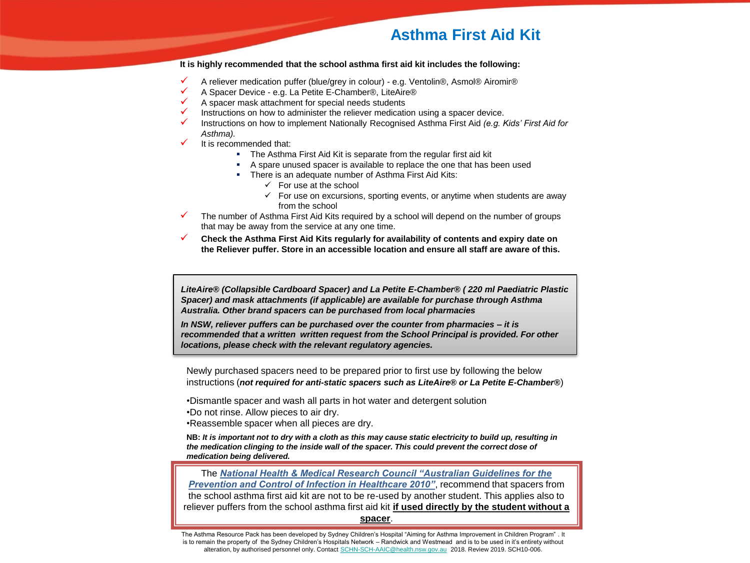## **Asthma First Aid Kit**

#### **It is highly recommended that the school asthma first aid kit includes the following:**

- A reliever medication puffer (blue/grey in colour) e.g. Ventolin®, Asmol® Airomir®
- A Spacer Device e.g. La Petite E-Chamber®, LiteAire®
- A spacer mask attachment for special needs students
- Instructions on how to administer the reliever medication using a spacer device.
- Instructions on how to implement Nationally Recognised Asthma First Aid *(e.g. Kids' First Aid for Asthma).*
- It is recommended that:
	- **The Asthma First Aid Kit is separate from the regular first aid kit**
	- A spare unused spacer is available to replace the one that has been used
	- There is an adequate number of Asthma First Aid Kits:
		- $\checkmark$  For use at the school
		- $\checkmark$  For use on excursions, sporting events, or anytime when students are away from the school
- The number of Asthma First Aid Kits required by a school will depend on the number of groups that may be away from the service at any one time.
- **Check the Asthma First Aid Kits regularly for availability of contents and expiry date on the Reliever puffer. Store in an accessible location and ensure all staff are aware of this.**

*LiteAire® (Collapsible Cardboard Spacer) and La Petite E-Chamber® ( 220 ml Paediatric Plastic Spacer) and mask attachments (if applicable) are available for purchase through Asthma Australia. Other brand spacers can be purchased from local pharmacies*

*In NSW, reliever puffers can be purchased over the counter from pharmacies – it is recommended that a written written request from the School Principal is provided. For other locations, please check with the relevant regulatory agencies.*

Newly purchased spacers need to be prepared prior to first use by following the below instructions (*not required for anti-static spacers such as LiteAire® or La Petite E-Chamber®*)

•Dismantle spacer and wash all parts in hot water and detergent solution •Do not rinse. Allow pieces to air dry.

•Reassemble spacer when all pieces are dry.

**NB:** *It is important not to dry with a cloth as this may cause static electricity to build up, resulting in the medication clinging to the inside wall of the spacer. This could prevent the correct dose of medication being delivered.*

The *National Health & Medical Research Council "Australian Guidelines for the Prevention and Control of Infection in Healthcare 2010"*, recommend that spacers from the school asthma first aid kit are not to be re-used by another student. This applies also to reliever puffers from the school asthma first aid kit **if used directly by the student without a spacer**.

The Asthma Resource Pack has been developed by Sydney Children's Hospital "Aiming for Asthma Improvement in Children Program" . It is to remain the property of the Sydney Children's Hospitals Network – Randwick and Westmead and is to be used in it's entirety without alteration, by authorised personnel only. Contact [SCHN-SCH-AAIC@health.nsw.gov.au](mailto:aaic@sesiahs.health.nsw.gov.au) 2018. Review 2019. SCH10-006.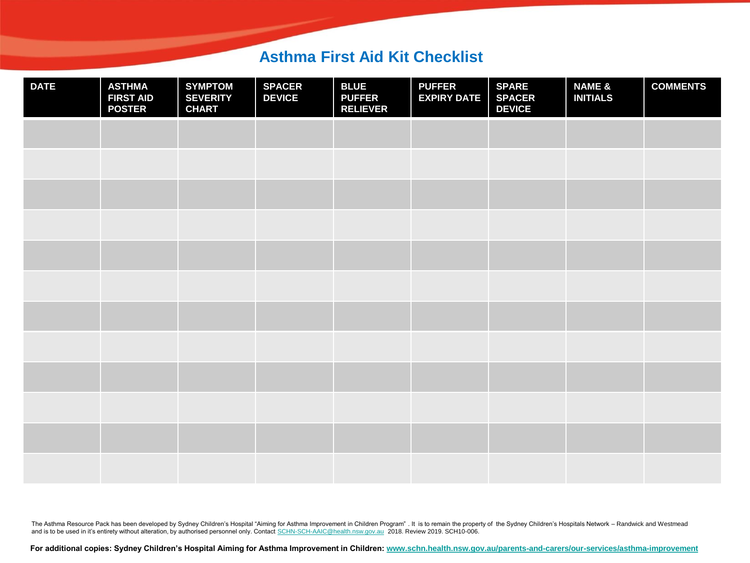### **Asthma First Aid Kit Checklist**

| <b>DATE</b> | <b>ASTHMA</b><br><b>FIRST AID</b><br><b>POSTER</b> | <b>SYMPTOM</b><br><b>SEVERITY</b><br><b>CHART</b> | <b>SPACER</b><br><b>DEVICE</b> | <b>BLUE</b><br><b>PUFFER</b><br><b>RELIEVER</b> | <b>PUFFER</b><br><b>EXPIRY DATE</b> | <b>SPARE</b><br><b>SPACER</b><br><b>DEVICE</b> | <b>NAME &amp;</b><br><b>INITIALS</b> | <b>COMMENTS</b> |
|-------------|----------------------------------------------------|---------------------------------------------------|--------------------------------|-------------------------------------------------|-------------------------------------|------------------------------------------------|--------------------------------------|-----------------|
|             |                                                    |                                                   |                                |                                                 |                                     |                                                |                                      |                 |
|             |                                                    |                                                   |                                |                                                 |                                     |                                                |                                      |                 |
|             |                                                    |                                                   |                                |                                                 |                                     |                                                |                                      |                 |
|             |                                                    |                                                   |                                |                                                 |                                     |                                                |                                      |                 |
|             |                                                    |                                                   |                                |                                                 |                                     |                                                |                                      |                 |
|             |                                                    |                                                   |                                |                                                 |                                     |                                                |                                      |                 |
|             |                                                    |                                                   |                                |                                                 |                                     |                                                |                                      |                 |
|             |                                                    |                                                   |                                |                                                 |                                     |                                                |                                      |                 |
|             |                                                    |                                                   |                                |                                                 |                                     |                                                |                                      |                 |
|             |                                                    |                                                   |                                |                                                 |                                     |                                                |                                      |                 |
|             |                                                    |                                                   |                                |                                                 |                                     |                                                |                                      |                 |
|             |                                                    |                                                   |                                |                                                 |                                     |                                                |                                      |                 |

The Asthma Resource Pack has been developed by Sydney Children's Hospital "Aiming for Asthma Improvement in Children Program" . It is to remain the property of the Sydney Children's Hospitals Network – Randwick and Westmead and is to be used in it's entirety without alteration, by authorised personnel only. Contact [SCHN-SCH-AAIC@health.nsw.gov.au](mailto:aaic@sesiahs.health.nsw.gov.au) 2018. Review 2019. SCH10-006.

**For additional copies: Sydney Children's Hospital Aiming for Asthma Improvement in Children: [www.schn.health.nsw.gov.au/parents-and-carers/our-services/asthma-improvement](http://www.schn.health.nsw.gov.au/parents-and-carers/our-services/asthma-improvement)**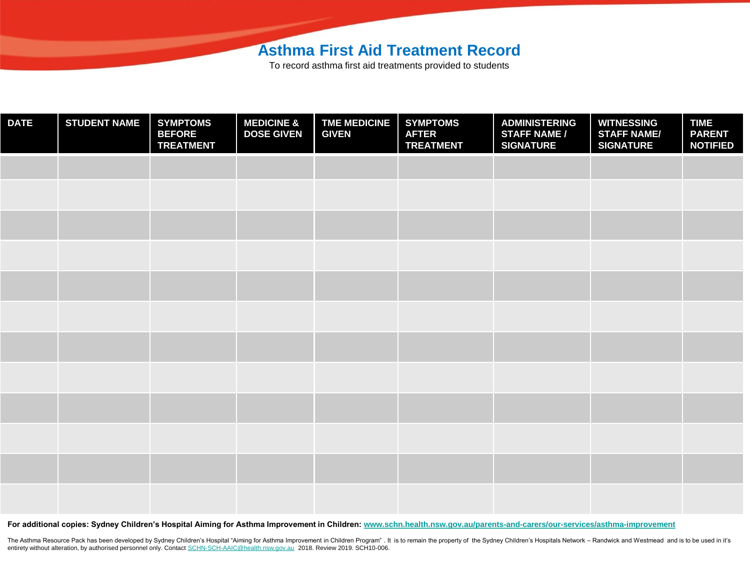### **Asthma First Aid Treatment Record**

To record asthma first aid treatments provided to students

| <b>DATE</b> | <b>STUDENT NAME</b> | <b>SYMPTOMS</b><br><b>BEFORE</b><br><b>TREATMENT</b> | <b>MEDICINE &amp;</b><br><b>DOSE GIVEN</b> | <b>TME MEDICINE</b><br><b>GIVEN</b> | <b>SYMPTOMS</b><br><b>AFTER</b><br><b>TREATMENT</b> | <b>ADMINISTERING</b><br><b>STAFF NAME /</b><br><b>SIGNATURE</b> | <b>WITNESSING</b><br><b>STAFF NAME/</b><br><b>SIGNATURE</b> | <b>TIME</b><br><b>PARENT</b><br><b>NOTIFIED</b> |
|-------------|---------------------|------------------------------------------------------|--------------------------------------------|-------------------------------------|-----------------------------------------------------|-----------------------------------------------------------------|-------------------------------------------------------------|-------------------------------------------------|
|             |                     |                                                      |                                            |                                     |                                                     |                                                                 |                                                             |                                                 |
|             |                     |                                                      |                                            |                                     |                                                     |                                                                 |                                                             |                                                 |
|             |                     |                                                      |                                            |                                     |                                                     |                                                                 |                                                             |                                                 |
|             |                     |                                                      |                                            |                                     |                                                     |                                                                 |                                                             |                                                 |
|             |                     |                                                      |                                            |                                     |                                                     |                                                                 |                                                             |                                                 |
|             |                     |                                                      |                                            |                                     |                                                     |                                                                 |                                                             |                                                 |
|             |                     |                                                      |                                            |                                     |                                                     |                                                                 |                                                             |                                                 |
|             |                     |                                                      |                                            |                                     |                                                     |                                                                 |                                                             |                                                 |
|             |                     |                                                      |                                            |                                     |                                                     |                                                                 |                                                             |                                                 |
|             |                     |                                                      |                                            |                                     |                                                     |                                                                 |                                                             |                                                 |
|             |                     |                                                      |                                            |                                     |                                                     |                                                                 |                                                             |                                                 |
|             |                     |                                                      |                                            |                                     |                                                     |                                                                 |                                                             |                                                 |

**For additional copies: Sydney Children's Hospital Aiming for Asthma Improvement in Children: [www.schn.health.nsw.gov.au/parents-and-carers/our-services/asthma-improvement](http://www.schn.health.nsw.gov.au/parents-and-carers/our-services/asthma-improvement)**

The Asthma Resource Pack has been developed by Sydney Children's Hospital "Aiming for Asthma Improvement in Children Program" . It is to remain the property of the Sydney Children's Hospitals Network – Randwick and Westmea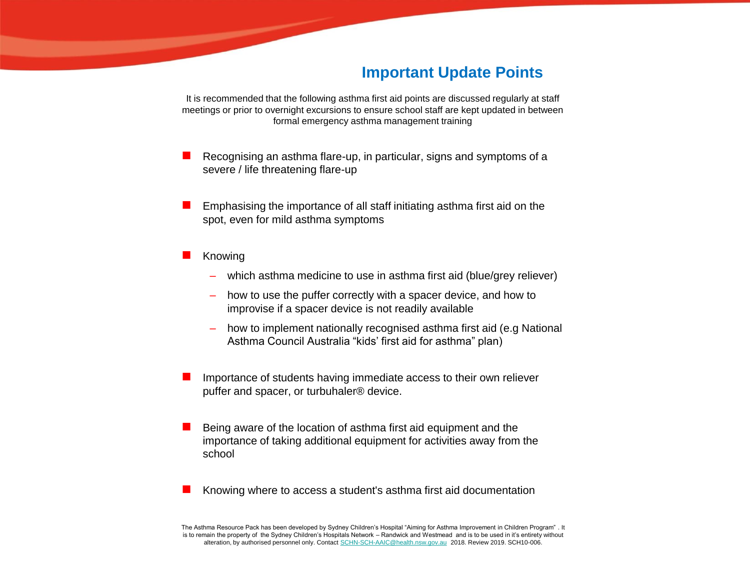### **Important Update Points**

It is recommended that the following asthma first aid points are discussed regularly at staff meetings or prior to overnight excursions to ensure school staff are kept updated in between formal emergency asthma management training

- Recognising an asthma flare-up, in particular, signs and symptoms of a severe / life threatening flare-up
- Emphasising the importance of all staff initiating asthma first aid on the spot, even for mild asthma symptoms
- Knowing

- which asthma medicine to use in asthma first aid (blue/grey reliever)
- how to use the puffer correctly with a spacer device, and how to improvise if a spacer device is not readily available
- how to implement nationally recognised asthma first aid (e.g National Asthma Council Australia "kids' first aid for asthma" plan)
- Importance of students having immediate access to their own reliever puffer and spacer, or turbuhaler® device.
- Being aware of the location of asthma first aid equipment and the importance of taking additional equipment for activities away from the school
- Knowing where to access a student's asthma first aid documentation